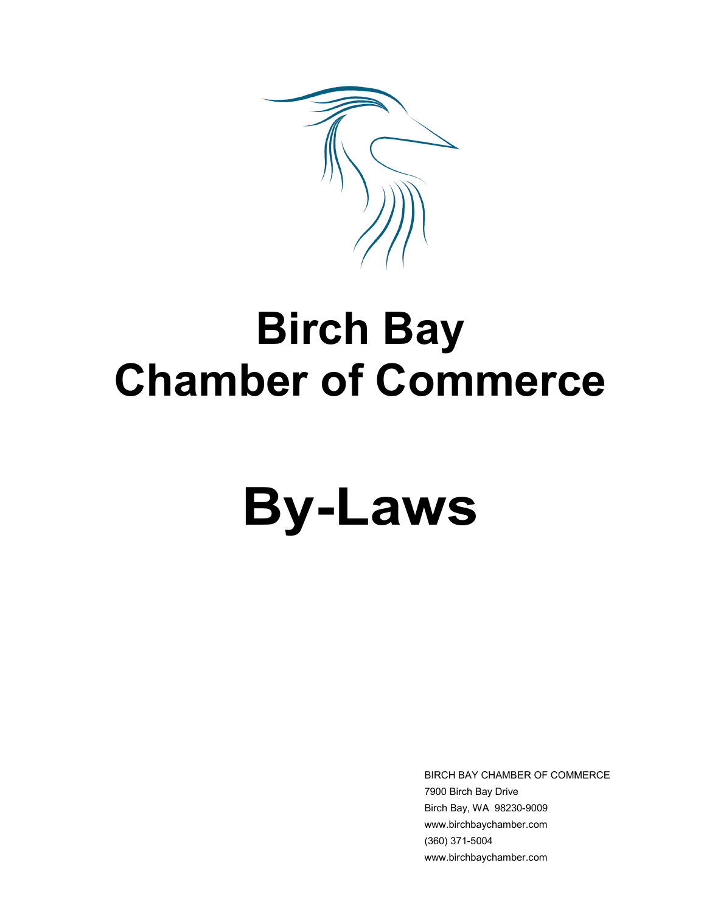

## **Birch Bay Chamber of Commerce**

# **By-Laws**

BIRCH BAY CHAMBER OF COMMERCE 7900 Birch Bay Drive Birch Bay, WA 98230-9009 www.birchbaychamber.com (360) 371-5004 www.birchbaychamber.com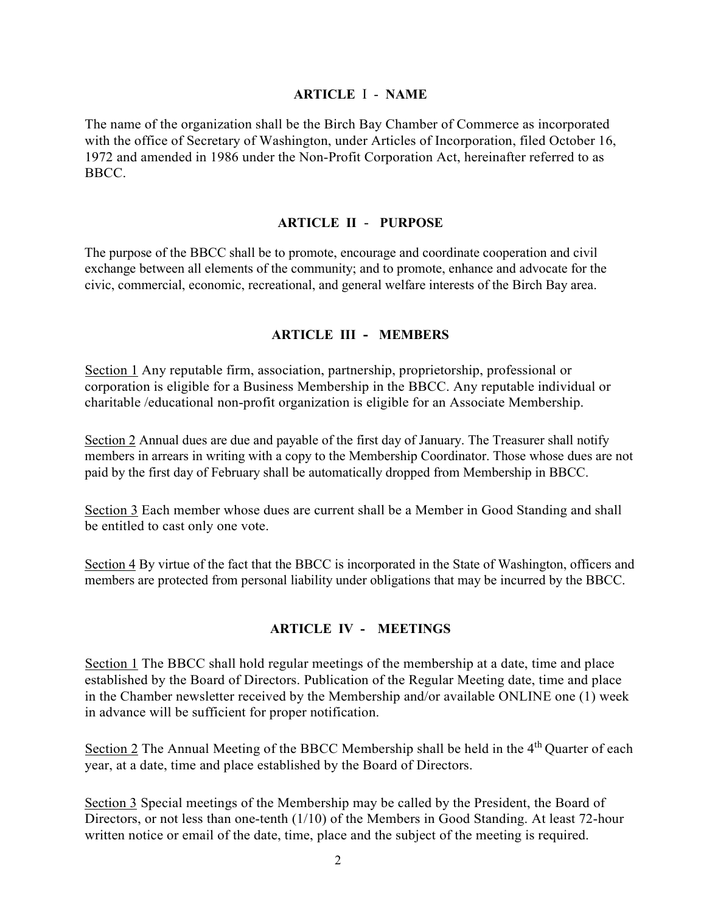#### **ARTICLE** I - **NAME**

The name of the organization shall be the Birch Bay Chamber of Commerce as incorporated with the office of Secretary of Washington, under Articles of Incorporation, filed October 16, 1972 and amended in 1986 under the Non-Profit Corporation Act, hereinafter referred to as BBCC.

#### **ARTICLE II** - **PURPOSE**

The purpose of the BBCC shall be to promote, encourage and coordinate cooperation and civil exchange between all elements of the community; and to promote, enhance and advocate for the civic, commercial, economic, recreational, and general welfare interests of the Birch Bay area.

#### **ARTICLE III - MEMBERS**

Section 1 Any reputable firm, association, partnership, proprietorship, professional or corporation is eligible for a Business Membership in the BBCC. Any reputable individual or charitable /educational non-profit organization is eligible for an Associate Membership.

Section 2 Annual dues are due and payable of the first day of January. The Treasurer shall notify members in arrears in writing with a copy to the Membership Coordinator. Those whose dues are not paid by the first day of February shall be automatically dropped from Membership in BBCC.

Section 3 Each member whose dues are current shall be a Member in Good Standing and shall be entitled to cast only one vote.

Section 4 By virtue of the fact that the BBCC is incorporated in the State of Washington, officers and members are protected from personal liability under obligations that may be incurred by the BBCC.

#### **ARTICLE IV - MEETINGS**

Section 1 The BBCC shall hold regular meetings of the membership at a date, time and place established by the Board of Directors. Publication of the Regular Meeting date, time and place in the Chamber newsletter received by the Membership and/or available ONLINE one (1) week in advance will be sufficient for proper notification.

Section 2 The Annual Meeting of the BBCC Membership shall be held in the 4<sup>th</sup> Ouarter of each year, at a date, time and place established by the Board of Directors.

Section 3 Special meetings of the Membership may be called by the President, the Board of Directors, or not less than one-tenth (1/10) of the Members in Good Standing. At least 72-hour written notice or email of the date, time, place and the subject of the meeting is required.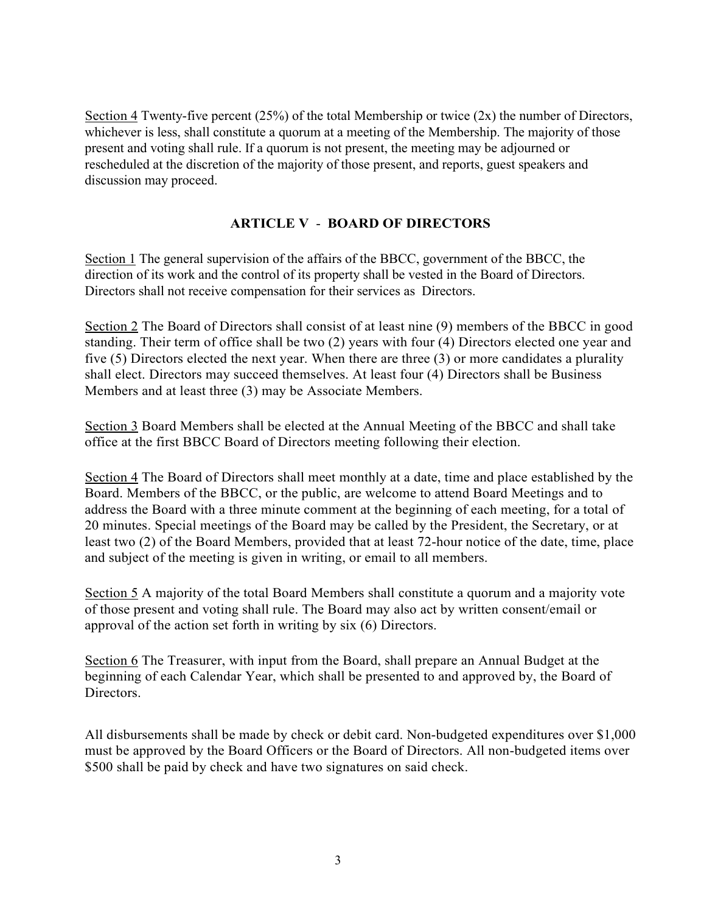Section 4 Twenty-five percent (25%) of the total Membership or twice (2x) the number of Directors, whichever is less, shall constitute a quorum at a meeting of the Membership. The majority of those present and voting shall rule. If a quorum is not present, the meeting may be adjourned or rescheduled at the discretion of the majority of those present, and reports, guest speakers and discussion may proceed.

#### **ARTICLE V** - **BOARD OF DIRECTORS**

Section 1 The general supervision of the affairs of the BBCC, government of the BBCC, the direction of its work and the control of its property shall be vested in the Board of Directors. Directors shall not receive compensation for their services as Directors.

Section 2 The Board of Directors shall consist of at least nine (9) members of the BBCC in good standing. Their term of office shall be two (2) years with four (4) Directors elected one year and five (5) Directors elected the next year. When there are three (3) or more candidates a plurality shall elect. Directors may succeed themselves. At least four (4) Directors shall be Business Members and at least three (3) may be Associate Members.

Section 3 Board Members shall be elected at the Annual Meeting of the BBCC and shall take office at the first BBCC Board of Directors meeting following their election.

Section 4 The Board of Directors shall meet monthly at a date, time and place established by the Board. Members of the BBCC, or the public, are welcome to attend Board Meetings and to address the Board with a three minute comment at the beginning of each meeting, for a total of 20 minutes. Special meetings of the Board may be called by the President, the Secretary, or at least two (2) of the Board Members, provided that at least 72-hour notice of the date, time, place and subject of the meeting is given in writing, or email to all members.

Section 5 A majority of the total Board Members shall constitute a quorum and a majority vote of those present and voting shall rule. The Board may also act by written consent/email or approval of the action set forth in writing by six (6) Directors.

Section 6 The Treasurer, with input from the Board, shall prepare an Annual Budget at the beginning of each Calendar Year, which shall be presented to and approved by, the Board of Directors.

All disbursements shall be made by check or debit card. Non-budgeted expenditures over \$1,000 must be approved by the Board Officers or the Board of Directors. All non-budgeted items over \$500 shall be paid by check and have two signatures on said check.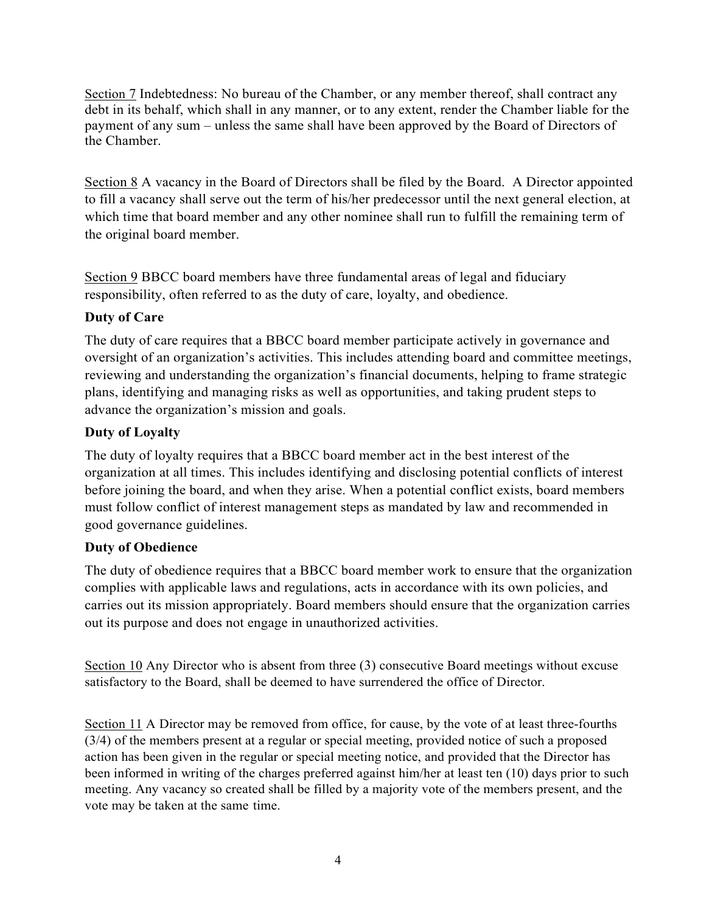Section 7 Indebtedness: No bureau of the Chamber, or any member thereof, shall contract any debt in its behalf, which shall in any manner, or to any extent, render the Chamber liable for the payment of any sum – unless the same shall have been approved by the Board of Directors of the Chamber.

Section 8 A vacancy in the Board of Directors shall be filed by the Board. A Director appointed to fill a vacancy shall serve out the term of his/her predecessor until the next general election, at which time that board member and any other nominee shall run to fulfill the remaining term of the original board member.

Section 9 BBCC board members have three fundamental areas of legal and fiduciary responsibility, often referred to as the duty of care, loyalty, and obedience.

#### **Duty of Care**

The duty of care requires that a BBCC board member participate actively in governance and oversight of an organization's activities. This includes attending board and committee meetings, reviewing and understanding the organization's financial documents, helping to frame strategic plans, identifying and managing risks as well as opportunities, and taking prudent steps to advance the organization's mission and goals.

#### **Duty of Loyalty**

The duty of loyalty requires that a BBCC board member act in the best interest of the organization at all times. This includes identifying and disclosing potential conflicts of interest before joining the board, and when they arise. When a potential conflict exists, board members must follow conflict of interest management steps as mandated by law and recommended in good governance guidelines.

#### **Duty of Obedience**

The duty of obedience requires that a BBCC board member work to ensure that the organization complies with applicable laws and regulations, acts in accordance with its own policies, and carries out its mission appropriately. Board members should ensure that the organization carries out its purpose and does not engage in unauthorized activities.

Section 10 Any Director who is absent from three (3) consecutive Board meetings without excuse satisfactory to the Board, shall be deemed to have surrendered the office of Director.

Section 11 A Director may be removed from office, for cause, by the vote of at least three-fourths (3/4) of the members present at a regular or special meeting, provided notice of such a proposed action has been given in the regular or special meeting notice, and provided that the Director has been informed in writing of the charges preferred against him/her at least ten (10) days prior to such meeting. Any vacancy so created shall be filled by a majority vote of the members present, and the vote may be taken at the same time.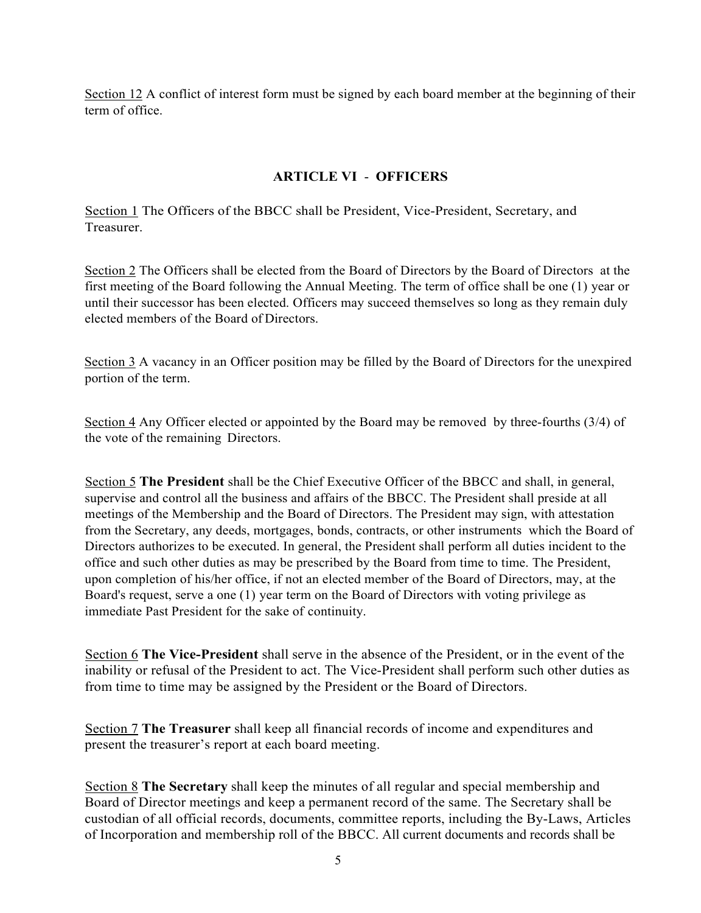Section 12 A conflict of interest form must be signed by each board member at the beginning of their term of office.

#### **ARTICLE VI** - **OFFICERS**

Section 1 The Officers of the BBCC shall be President, Vice-President, Secretary, and Treasurer.

Section 2 The Officers shall be elected from the Board of Directors by the Board of Directors at the first meeting of the Board following the Annual Meeting. The term of office shall be one (1) year or until their successor has been elected. Officers may succeed themselves so long as they remain duly elected members of the Board of Directors.

Section 3 A vacancy in an Officer position may be filled by the Board of Directors for the unexpired portion of the term.

Section 4 Any Officer elected or appointed by the Board may be removed by three-fourths (3/4) of the vote of the remaining Directors.

Section 5 **The President** shall be the Chief Executive Officer of the BBCC and shall, in general, supervise and control all the business and affairs of the BBCC. The President shall preside at all meetings of the Membership and the Board of Directors. The President may sign, with attestation from the Secretary, any deeds, mortgages, bonds, contracts, or other instruments which the Board of Directors authorizes to be executed. In general, the President shall perform all duties incident to the office and such other duties as may be prescribed by the Board from time to time. The President, upon completion of his/her office, if not an elected member of the Board of Directors, may, at the Board's request, serve a one (1) year term on the Board of Directors with voting privilege as immediate Past President for the sake of continuity.

Section 6 **The Vice-President** shall serve in the absence of the President, or in the event of the inability or refusal of the President to act. The Vice-President shall perform such other duties as from time to time may be assigned by the President or the Board of Directors.

Section 7 **The Treasurer** shall keep all financial records of income and expenditures and present the treasurer's report at each board meeting.

Section 8 **The Secretary** shall keep the minutes of all regular and special membership and Board of Director meetings and keep a permanent record of the same. The Secretary shall be custodian of all official records, documents, committee reports, including the By-Laws, Articles of Incorporation and membership roll of the BBCC. All current documents and records shall be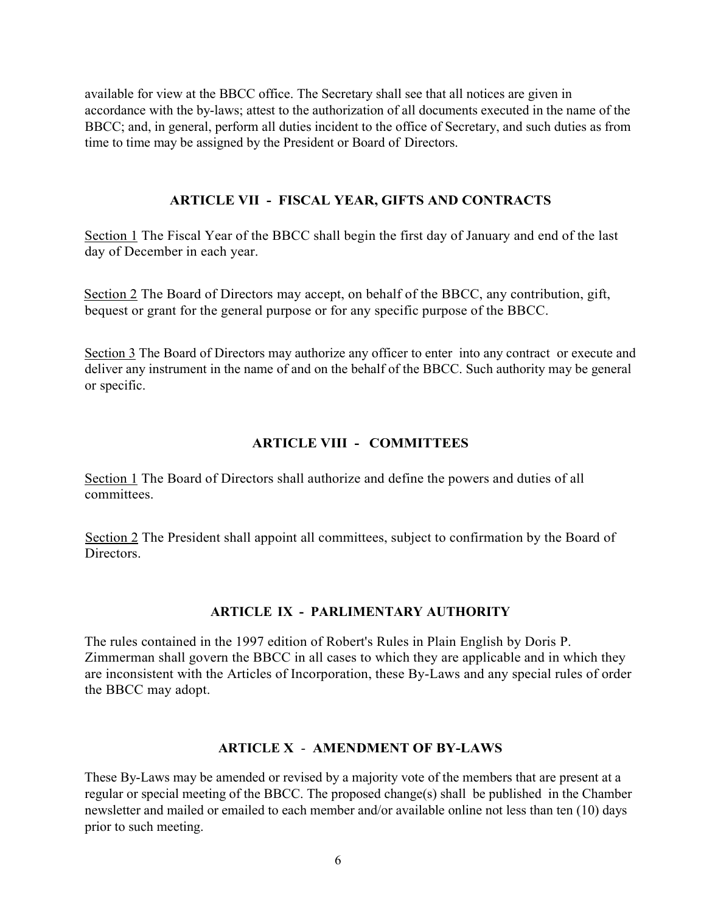available for view at the BBCC office. The Secretary shall see that all notices are given in accordance with the by-laws; attest to the authorization of all documents executed in the name of the BBCC; and, in general, perform all duties incident to the office of Secretary, and such duties as from time to time may be assigned by the President or Board of Directors.

#### **ARTICLE VII - FISCAL YEAR, GIFTS AND CONTRACTS**

Section 1 The Fiscal Year of the BBCC shall begin the first day of January and end of the last day of December in each year.

Section 2 The Board of Directors may accept, on behalf of the BBCC, any contribution, gift, bequest or grant for the general purpose or for any specific purpose of the BBCC.

Section 3 The Board of Directors may authorize any officer to enter into any contract or execute and deliver any instrument in the name of and on the behalf of the BBCC. Such authority may be general or specific.

#### **ARTICLE VIII - COMMITTEES**

Section 1 The Board of Directors shall authorize and define the powers and duties of all committees.

Section 2 The President shall appoint all committees, subject to confirmation by the Board of Directors.

#### **ARTICLE IX - PARLIMENTARY AUTHORITY**

The rules contained in the 1997 edition of Robert's Rules in Plain English by Doris P. Zimmerman shall govern the BBCC in all cases to which they are applicable and in which they are inconsistent with the Articles of Incorporation, these By-Laws and any special rules of order the BBCC may adopt.

#### **ARTICLE X** - **AMENDMENT OF BY-LAWS**

These By-Laws may be amended or revised by a majority vote of the members that are present at a regular or special meeting of the BBCC. The proposed change(s) shall be published in the Chamber newsletter and mailed or emailed to each member and/or available online not less than ten (10) days prior to such meeting.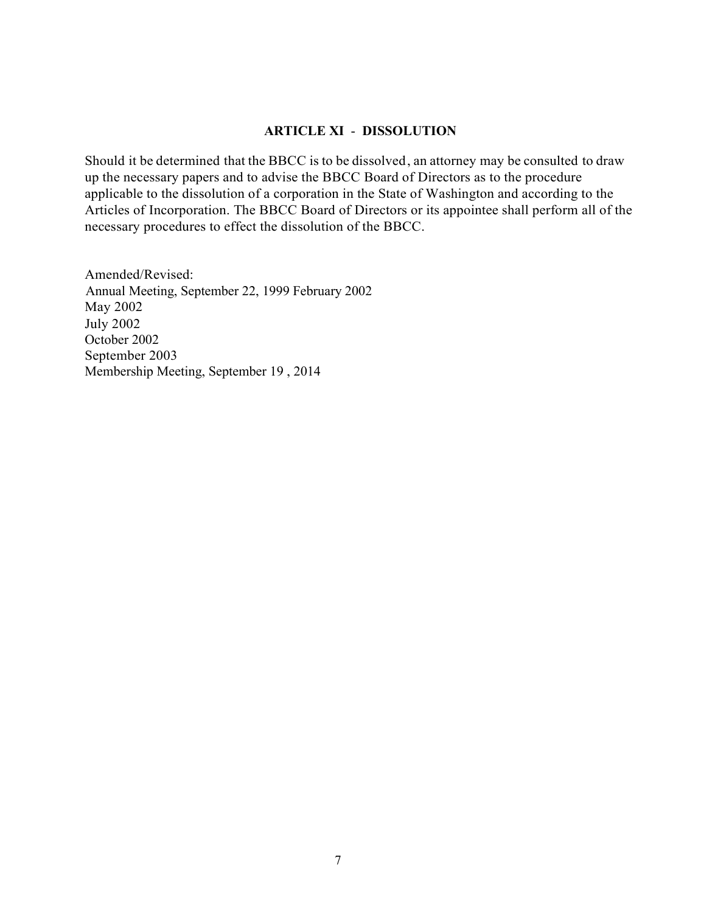#### **ARTICLE XI** - **DISSOLUTION**

Should it be determined that the BBCC is to be dissolved, an attorney may be consulted to draw up the necessary papers and to advise the BBCC Board of Directors as to the procedure applicable to the dissolution of a corporation in the State of Washington and according to the Articles of Incorporation. The BBCC Board of Directors or its appointee shall perform all of the necessary procedures to effect the dissolution of the BBCC.

Amended/Revised: Annual Meeting, September 22, 1999 February 2002 May 2002 July 2002 October 2002 September 2003 Membership Meeting, September 19 , 2014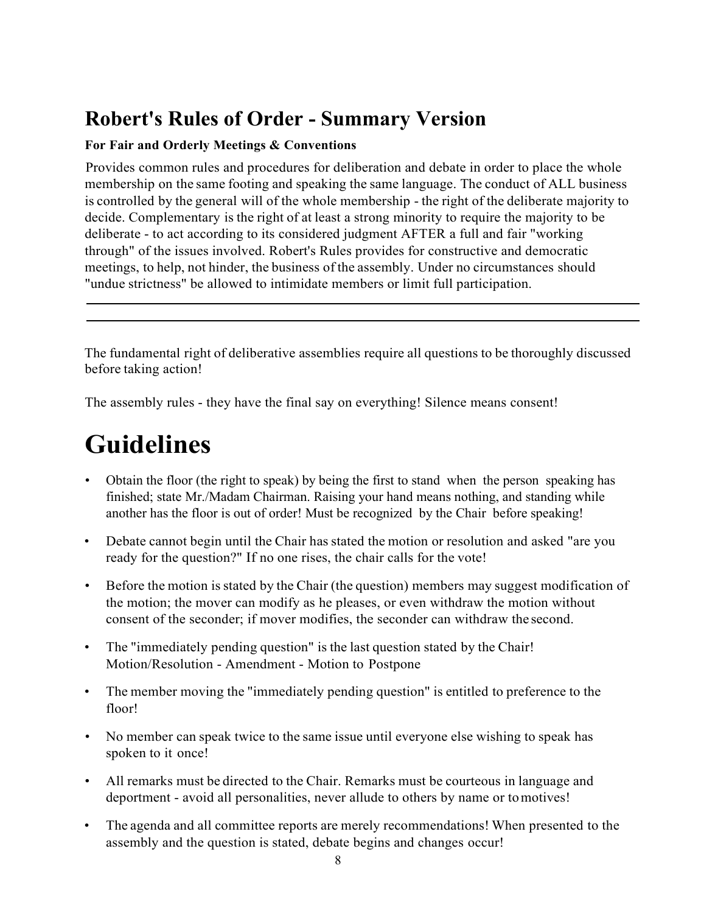## **Robert's Rules of Order - Summary Version**

#### **For Fair and Orderly Meetings & Conventions**

Provides common rules and procedures for deliberation and debate in order to place the whole membership on the same footing and speaking the same language. The conduct of ALL business is controlled by the general will of the whole membership - the right of the deliberate majority to decide. Complementary is the right of at least a strong minority to require the majority to be deliberate - to act according to its considered judgment AFTER a full and fair "working through" of the issues involved. Robert's Rules provides for constructive and democratic meetings, to help, not hinder, the business of the assembly. Under no circumstances should "undue strictness" be allowed to intimidate members or limit full participation.

The fundamental right of deliberative assemblies require all questions to be thoroughly discussed before taking action!

The assembly rules - they have the final say on everything! Silence means consent!

## **Guidelines**

- Obtain the floor (the right to speak) by being the first to stand when the person speaking has finished; state Mr./Madam Chairman. Raising your hand means nothing, and standing while another has the floor is out of order! Must be recognized by the Chair before speaking!
- Debate cannot begin until the Chair has stated the motion or resolution and asked "are you ready for the question?" If no one rises, the chair calls for the vote!
- Before the motion is stated by the Chair (the question) members may suggest modification of the motion; the mover can modify as he pleases, or even withdraw the motion without consent of the seconder; if mover modifies, the seconder can withdraw the second.
- The "immediately pending question" is the last question stated by the Chair! Motion/Resolution - Amendment - Motion to Postpone
- The member moving the "immediately pending question" is entitled to preference to the floor!
- No member can speak twice to the same issue until everyone else wishing to speak has spoken to it once!
- All remarks must be directed to the Chair. Remarks must be courteous in language and deportment - avoid all personalities, never allude to others by name or tomotives!
- The agenda and all committee reports are merely recommendations! When presented to the assembly and the question is stated, debate begins and changes occur!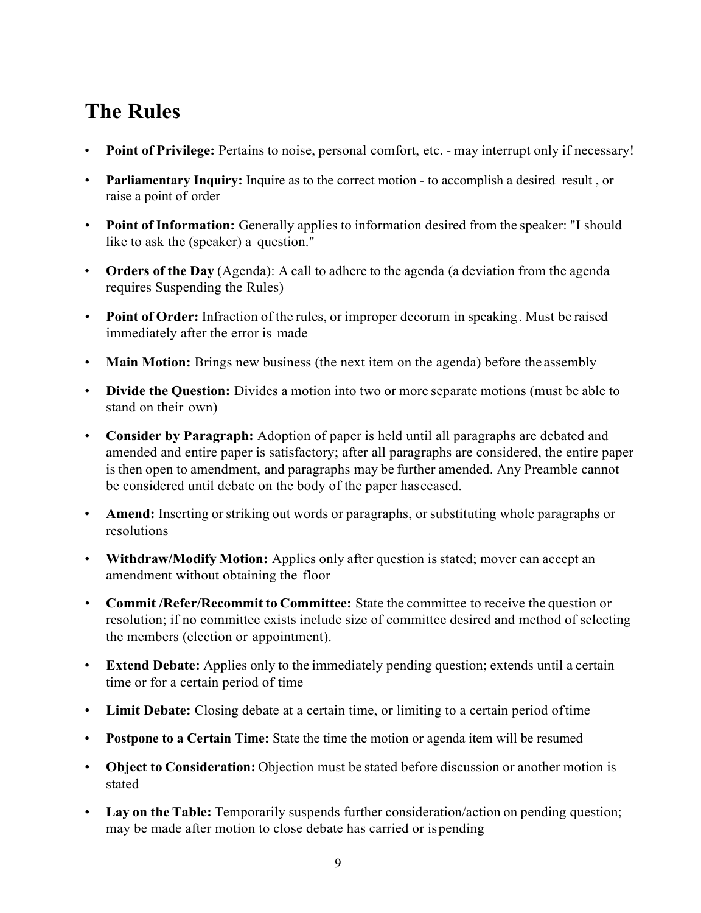### **The Rules**

- **Point of Privilege:** Pertains to noise, personal comfort, etc. may interrupt only if necessary!
- **Parliamentary Inquiry:** Inquire as to the correct motion to accomplish a desired result, or raise a point of order
- **Point of Information:** Generally applies to information desired from the speaker: "I should like to ask the (speaker) a question."
- **Orders of the Day** (Agenda): A call to adhere to the agenda (a deviation from the agenda requires Suspending the Rules)
- **Point of Order:** Infraction of the rules, or improper decorum in speaking. Must be raised immediately after the error is made
- Main Motion: Brings new business (the next item on the agenda) before the assembly
- **Divide the Question:** Divides a motion into two or more separate motions (must be able to stand on their own)
- **Consider by Paragraph:** Adoption of paper is held until all paragraphs are debated and amended and entire paper is satisfactory; after all paragraphs are considered, the entire paper is then open to amendment, and paragraphs may be further amended. Any Preamble cannot be considered until debate on the body of the paper hasceased.
- **Amend:** Inserting orstriking out words or paragraphs, orsubstituting whole paragraphs or resolutions
- **Withdraw/Modify Motion:** Applies only after question is stated; mover can accept an amendment without obtaining the floor
- **Commit /Refer/Recommit to Committee:** State the committee to receive the question or resolution; if no committee exists include size of committee desired and method of selecting the members (election or appointment).
- **Extend Debate:** Applies only to the immediately pending question; extends until a certain time or for a certain period of time
- **Limit Debate:** Closing debate at a certain time, or limiting to a certain period oftime
- **Postpone to a Certain Time:** State the time the motion or agenda item will be resumed
- **Object to Consideration:** Objection must be stated before discussion or another motion is stated
- **Lay on the Table:** Temporarily suspends further consideration/action on pending question; may be made after motion to close debate has carried or ispending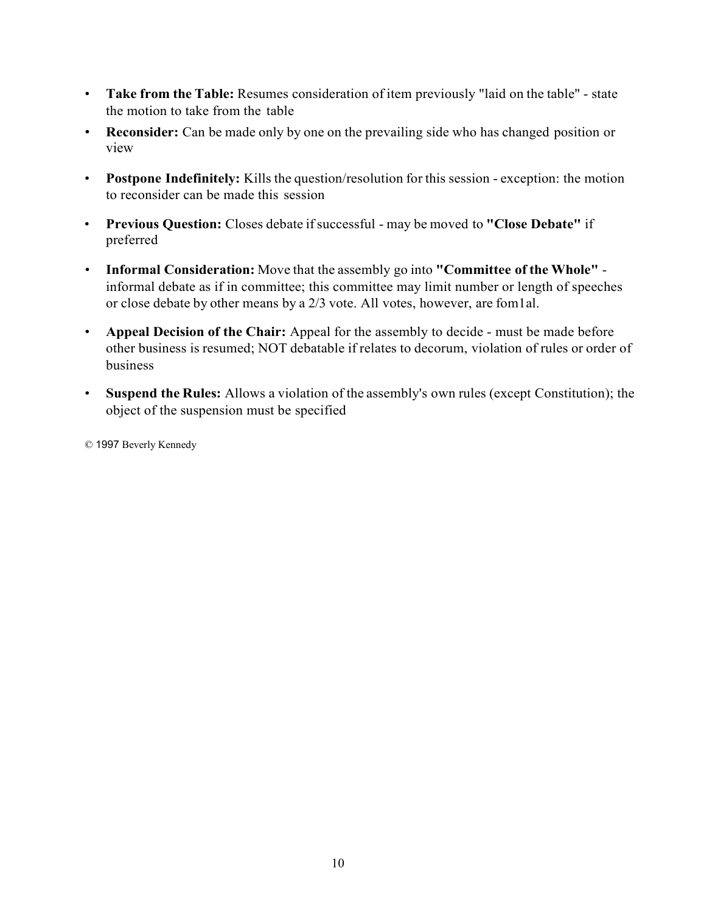- **Take from the Table:** Resumes consideration of item previously "laid on the table" state the motion to take from the table
- **Reconsider:** Can be made only by one on the prevailing side who has changed position or view
- **Postpone Indefinitely:** Kills the question/resolution for this session exception: the motion to reconsider can be made this session
- **Previous Question:** Closes debate ifsuccessful may be moved to **"Close Debate"** if preferred
- **Informal Consideration:** Move that the assembly go into **"Committee of the Whole"** informal debate as if in committee; this committee may limit number or length of speeches or close debate by other means by a 2/3 vote. All votes, however, are fom1al.
- **Appeal Decision of the Chair:** Appeal for the assembly to decide must be made before other business is resumed; NOT debatable if relates to decorum, violation of rules or order of business
- **Suspend the Rules:** Allows a violation of the assembly's own rules (except Constitution); the object of the suspension must be specified

© 1997 Beverly Kennedy